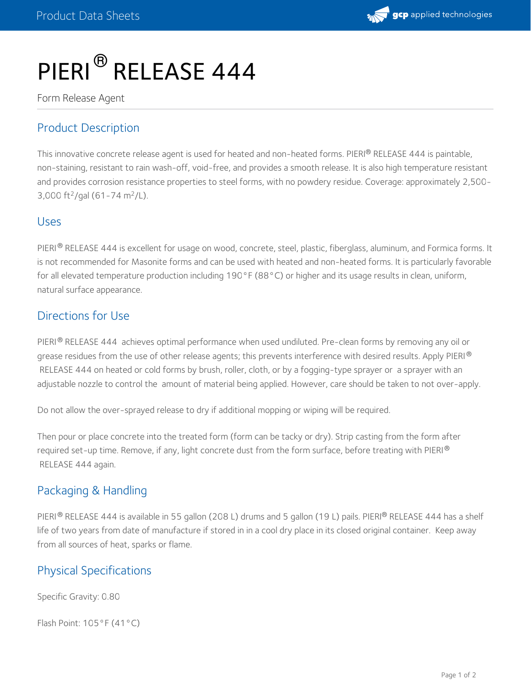

# PIERI<sup>®</sup> RELEASE 444

Form Release Agent

# Product Description

This innovative concrete release agent is used for heated and non-heated forms. PIERI® RELEASE 444 is paintable, non-staining, resistant to rain wash-off, void-free, and provides a smooth release. It is also high temperature resistant and provides corrosion resistance properties to steel forms, with no powdery residue. Coverage: approximately 2,500- 3,000 ft<sup>2</sup>/gal (61-74 m<sup>2</sup>/L).

#### Uses

PIERI $^\circledR$  RELEASE 444 is excellent for usage on wood, concrete, steel, plastic, fiberglass, aluminum, and Formica forms. It is not recommended for Masonite forms and can be used with heated and non-heated forms. It is particularly favorable for all elevated temperature production including 190°F (88°C) or higher and its usage results in clean, uniform, natural surface appearance.

### Directions for Use

PIERI® RELEASE 444 achieves optimal performance when used undiluted. Pre-clean forms by removing any oil or grease residues from the use of other release agents; this prevents interference with desired results. Apply PIERI  $^\circledR$ RELEASE 444 on heated or cold forms by brush, roller, cloth, or by a fogging-type sprayer or a sprayer with an adjustable nozzle to control the amount of material being applied. However, care should be taken to not over-apply.

Do not allow the over-sprayed release to dry if additional mopping or wiping will be required.

Then pour or place concrete into the treated form (form can be tacky or dry). Strip casting from the form after required set-up time. Remove, if any, light concrete dust from the form surface, before treating with PIERI  $^\circledR$ RELEASE 444 again.

# Packaging & Handling

PIERI® RELEASE 444 is available in 55 gallon (208 L) drums and 5 gallon (19 L) pails. PIERI® RELEASE 444 has a shelf life of two years from date of manufacture if stored in in a cool dry place in its closed original container. Keep away from all sources of heat, sparks or flame.

# Physical Specifications

Specific Gravity: 0.80

Flash Point: 105°F (41°C)